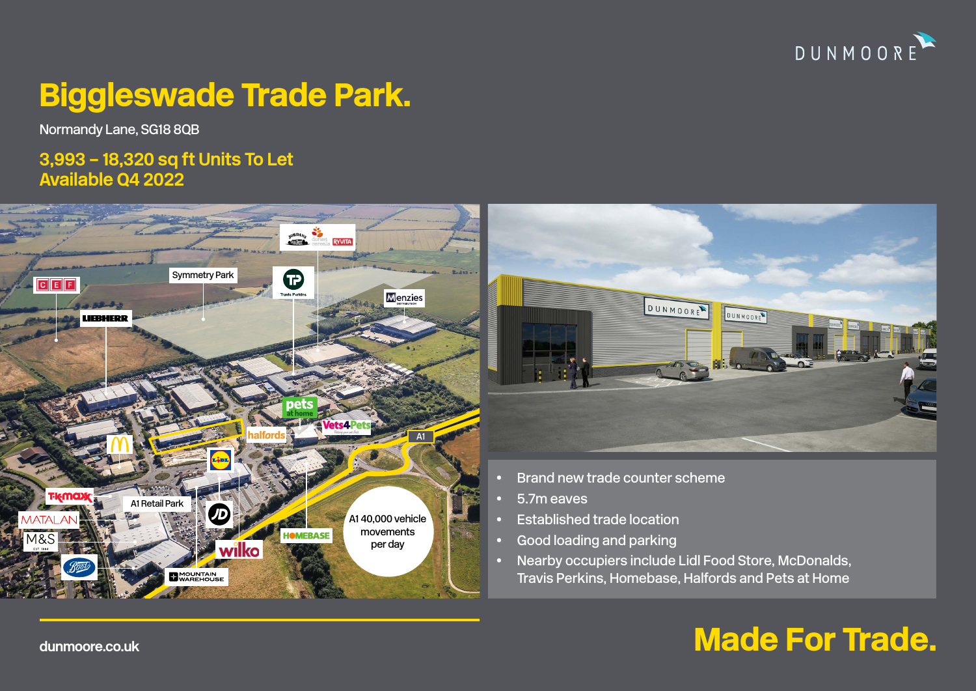

# Biggleswade Trade Park.

Normandy Lane, SG18 8QB

## **3,993 – 18,320 sq ft Units To Let Available Q4 2022**





- Brand new trade counter scheme
- 5.7m eaves
- Established trade location
- Good loading and parking
- Nearby occupiers include Lidl Food Store, McDonalds, Travis Perkins, Homebase, Halfords and Pets at Home

# **dunmoore.co.uk** and the contract of the contract of the contract of the contract of the contract of the contract of the contract of the contract of the contract of the contract of the contract of the contract of the contr